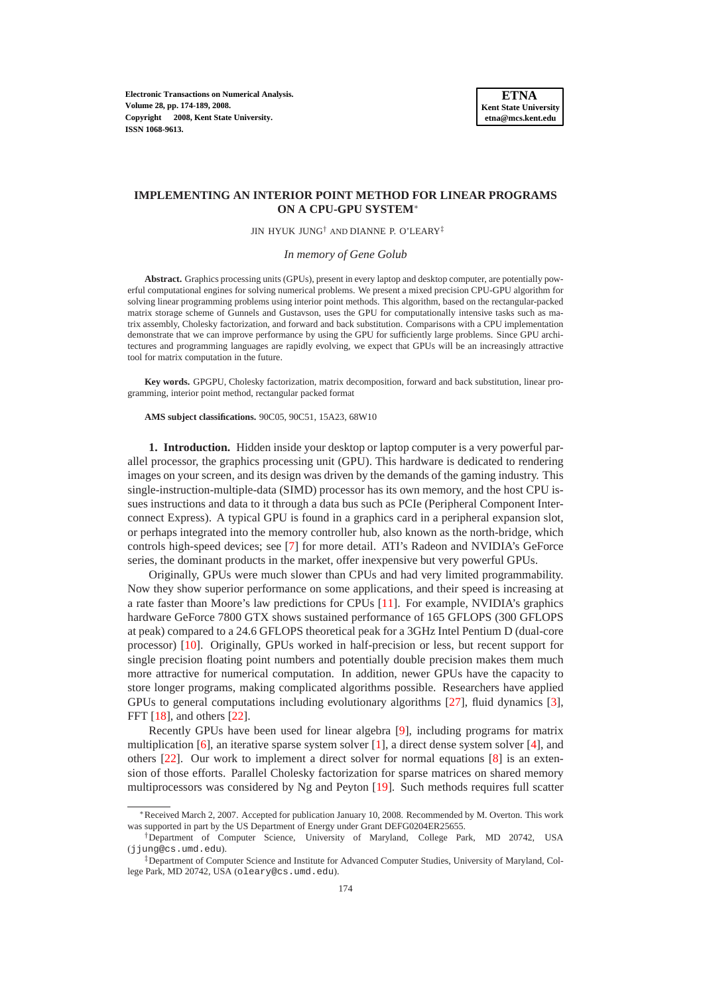**Electronic Transactions on Numerical Analysis. Volume 28, pp. 174-189, 2008. Copyright 2008, Kent State University. ISSN 1068-9613.**

# **IMPLEMENTING AN INTERIOR POINT METHOD FOR LINEAR PROGRAMS ON A CPU-GPU SYSTEM**<sup>∗</sup>

JIN HYUK JUNG† AND DIANNE P. O'LEARY‡

#### *In memory of Gene Golub*

**Abstract.** Graphics processing units (GPUs), present in every laptop and desktop computer, are potentially powerful computational engines for solving numerical problems. We present a mixed precision CPU-GPU algorithm for solving linear programming problems using interior point methods. This algorithm, based on the rectangular-packed matrix storage scheme of Gunnels and Gustavson, uses the GPU for computationally intensive tasks such as matrix assembly, Cholesky factorization, and forward and back substitution. Comparisons with a CPU implementation demonstrate that we can improve performance by using the GPU for sufficiently large problems. Since GPU architectures and programming languages are rapidly evolving, we expect that GPUs will be an increasingly attractive tool for matrix computation in the future.

**Key words.** GPGPU, Cholesky factorization, matrix decomposition, forward and back substitution, linear programming, interior point method, rectangular packed format

**AMS subject classifications.** 90C05, 90C51, 15A23, 68W10

**1. Introduction.** Hidden inside your desktop or laptop computer is a very powerful parallel processor, the graphics processing unit (GPU). This hardware is dedicated to rendering images on your screen, and its design was driven by the demands of the gaming industry. This single-instruction-multiple-data (SIMD) processor has its own memory, and the host CPU issues instructions and data to it through a data bus such as PCIe (Peripheral Component Interconnect Express). A typical GPU is found in a graphics card in a peripheral expansion slot, or perhaps integrated into the memory controller hub, also known as the north-bridge, which controls high-speed devices; see [\[7\]](#page-15-0) for more detail. ATI's Radeon and NVIDIA's GeForce series, the dominant products in the market, offer inexpensive but very powerful GPUs.

Originally, GPUs were much slower than CPUs and had very limited programmability. Now they show superior performance on some applications, and their speed is increasing at a rate faster than Moore's law predictions for CPUs [\[11\]](#page-15-1). For example, NVIDIA's graphics hardware GeForce 7800 GTX shows sustained performance of 165 GFLOPS (300 GFLOPS at peak) compared to a 24.6 GFLOPS theoretical peak for a 3GHz Intel Pentium D (dual-core processor) [\[10\]](#page-15-2). Originally, GPUs worked in half-precision or less, but recent support for single precision floating point numbers and potentially double precision makes them much more attractive for numerical computation. In addition, newer GPUs have the capacity to store longer programs, making complicated algorithms possible. Researchers have applied GPUs to general computations including evolutionary algorithms [\[27\]](#page-15-3), fluid dynamics [\[3\]](#page-14-0), FFT [\[18\]](#page-15-4), and others [\[22\]](#page-15-5).

Recently GPUs have been used for linear algebra [\[9\]](#page-15-6), including programs for matrix multiplication  $[6]$ , an iterative sparse system solver  $[1]$ , a direct dense system solver  $[4]$ , and others [\[22\]](#page-15-5). Our work to implement a direct solver for normal equations [\[8\]](#page-15-8) is an extension of those efforts. Parallel Cholesky factorization for sparse matrices on shared memory multiprocessors was considered by Ng and Peyton [\[19\]](#page-15-9). Such methods requires full scatter

<sup>∗</sup>Received March 2, 2007. Accepted for publication January 10, 2008. Recommended by M. Overton. This work was supported in part by the US Department of Energy under Grant DEFG0204ER25655.

<sup>†</sup>Department of Computer Science, University of Maryland, College Park, MD 20742, USA (jjung@cs.umd.edu).

<sup>‡</sup>Department of Computer Science and Institute for Advanced Computer Studies, University of Maryland, College Park, MD 20742, USA (oleary@cs.umd.edu).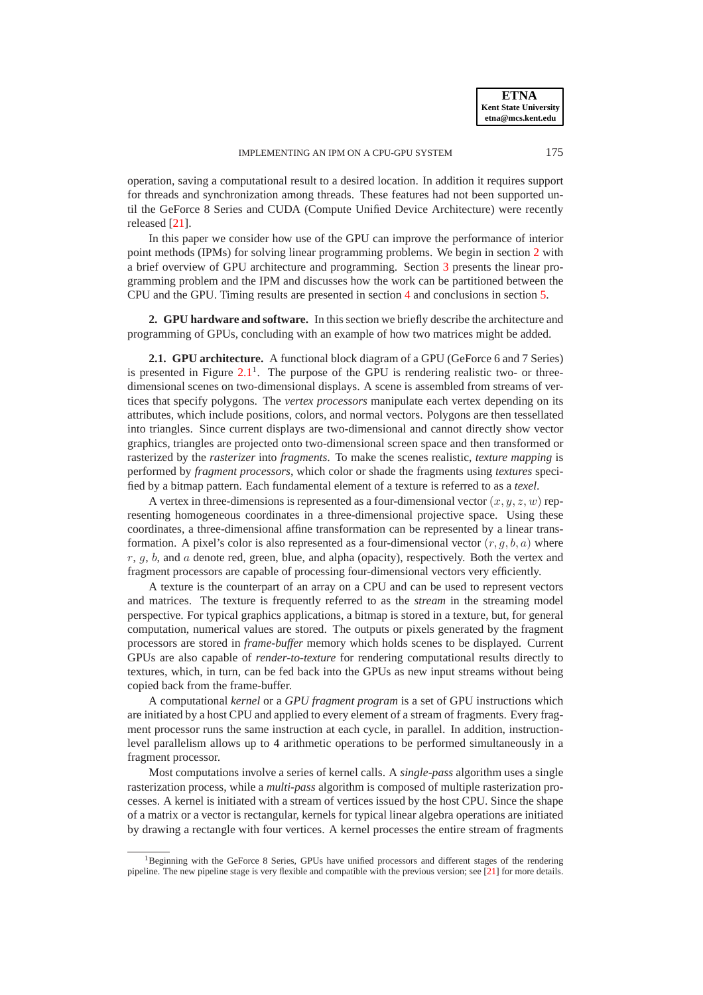operation, saving a computational result to a desired location. In addition it requires support for threads and synchronization among threads. These features had not been supported un-

In this paper we consider how use of the GPU can improve the performance of interior point methods (IPMs) for solving linear programming problems. We begin in section [2](#page-1-0) with a brief overview of GPU architecture and programming. Section [3](#page-4-0) presents the linear programming problem and the IPM and discusses how the work can be partitioned between the CPU and the GPU. Timing results are presented in section [4](#page-10-0) and conclusions in section [5.](#page-14-3)

til the GeForce 8 Series and CUDA (Compute Unified Device Architecture) were recently

released [\[21\]](#page-15-10).

<span id="page-1-0"></span>**2. GPU hardware and software.** In this section we briefly describe the architecture and programming of GPUs, concluding with an example of how two matrices might be added.

**2.1. GPU architecture.** A functional block diagram of a GPU (GeForce 6 and 7 Series) is presented in Figure  $2.1<sup>1</sup>$  $2.1<sup>1</sup>$ . The purpose of the GPU is rendering realistic two- or threedimensional scenes on two-dimensional displays. A scene is assembled from streams of vertices that specify polygons. The *vertex processors* manipulate each vertex depending on its attributes, which include positions, colors, and normal vectors. Polygons are then tessellated into triangles. Since current displays are two-dimensional and cannot directly show vector graphics, triangles are projected onto two-dimensional screen space and then transformed or rasterized by the *rasterizer* into *fragments*. To make the scenes realistic, *texture mapping* is performed by *fragment processors*, which color or shade the fragments using *textures* specified by a bitmap pattern. Each fundamental element of a texture is referred to as a *texel*.

A vertex in three-dimensions is represented as a four-dimensional vector  $(x, y, z, w)$  representing homogeneous coordinates in a three-dimensional projective space. Using these coordinates, a three-dimensional affine transformation can be represented by a linear transformation. A pixel's color is also represented as a four-dimensional vector  $(r, q, b, a)$  where  $r, g, b$ , and a denote red, green, blue, and alpha (opacity), respectively. Both the vertex and fragment processors are capable of processing four-dimensional vectors very efficiently.

A texture is the counterpart of an array on a CPU and can be used to represent vectors and matrices. The texture is frequently referred to as the *stream* in the streaming model perspective. For typical graphics applications, a bitmap is stored in a texture, but, for general computation, numerical values are stored. The outputs or pixels generated by the fragment processors are stored in *frame-buffer* memory which holds scenes to be displayed. Current GPUs are also capable of *render-to-texture* for rendering computational results directly to textures, which, in turn, can be fed back into the GPUs as new input streams without being copied back from the frame-buffer.

A computational *kernel* or a *GPU fragment program* is a set of GPU instructions which are initiated by a host CPU and applied to every element of a stream of fragments. Every fragment processor runs the same instruction at each cycle, in parallel. In addition, instructionlevel parallelism allows up to 4 arithmetic operations to be performed simultaneously in a fragment processor.

Most computations involve a series of kernel calls. A *single-pass* algorithm uses a single rasterization process, while a *multi-pass* algorithm is composed of multiple rasterization processes. A kernel is initiated with a stream of vertices issued by the host CPU. Since the shape of a matrix or a vector is rectangular, kernels for typical linear algebra operations are initiated by drawing a rectangle with four vertices. A kernel processes the entire stream of fragments

<sup>&</sup>lt;sup>1</sup>Beginning with the GeForce 8 Series, GPUs have unified processors and different stages of the rendering pipeline. The new pipeline stage is very flexible and compatible with the previous version; see [\[21\]](#page-15-10) for more details.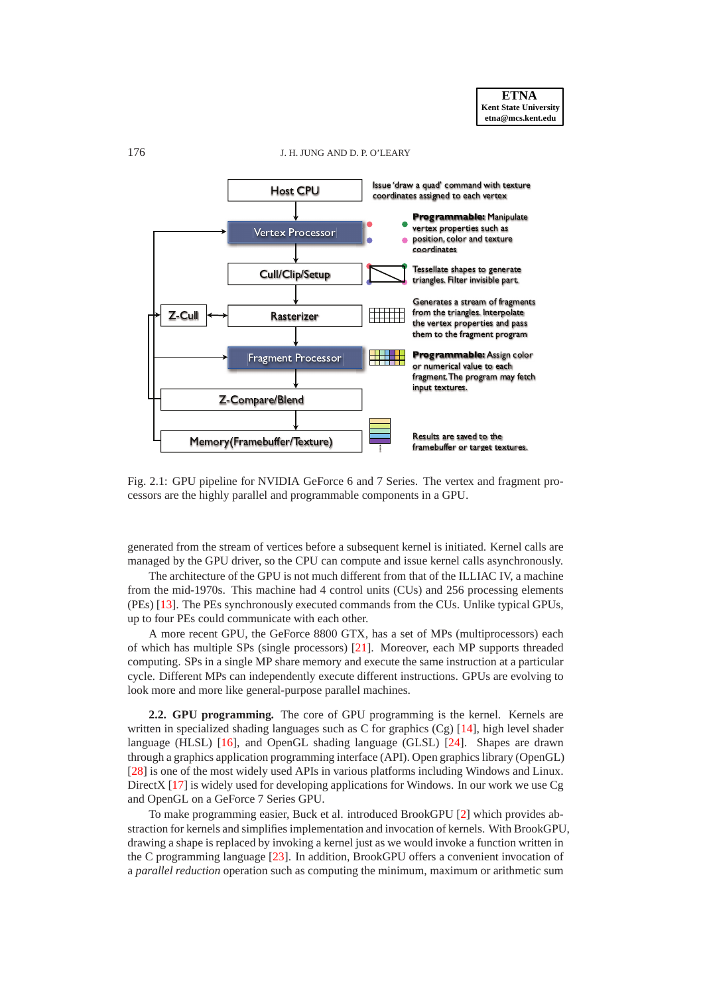<span id="page-2-0"></span>

Fig. 2.1: GPU pipeline for NVIDIA GeForce 6 and 7 Series. The vertex and fragment processors are the highly parallel and programmable components in a GPU.

generated from the stream of vertices before a subsequent kernel is initiated. Kernel calls are managed by the GPU driver, so the CPU can compute and issue kernel calls asynchronously.

The architecture of the GPU is not much different from that of the ILLIAC IV, a machine from the mid-1970s. This machine had 4 control units (CUs) and 256 processing elements (PEs) [\[13\]](#page-15-11). The PEs synchronously executed commands from the CUs. Unlike typical GPUs, up to four PEs could communicate with each other.

A more recent GPU, the GeForce 8800 GTX, has a set of MPs (multiprocessors) each of which has multiple SPs (single processors) [\[21\]](#page-15-10). Moreover, each MP supports threaded computing. SPs in a single MP share memory and execute the same instruction at a particular cycle. Different MPs can independently execute different instructions. GPUs are evolving to look more and more like general-purpose parallel machines.

**2.2. GPU programming.** The core of GPU programming is the kernel. Kernels are written in specialized shading languages such as C for graphics  $(Cg)$  [\[14\]](#page-15-12), high level shader language (HLSL) [\[16\]](#page-15-13), and OpenGL shading language (GLSL) [\[24\]](#page-15-14). Shapes are drawn through a graphics application programming interface (API). Open graphics library (OpenGL) [\[28\]](#page-15-15) is one of the most widely used APIs in various platforms including Windows and Linux. DirectX [\[17\]](#page-15-16) is widely used for developing applications for Windows. In our work we use Cg and OpenGL on a GeForce 7 Series GPU.

To make programming easier, Buck et al. introduced BrookGPU [\[2\]](#page-14-4) which provides abstraction for kernels and simplifies implementation and invocation of kernels. With BrookGPU, drawing a shape is replaced by invoking a kernel just as we would invoke a function written in the C programming language [\[23\]](#page-15-17). In addition, BrookGPU offers a convenient invocation of a *parallel reduction* operation such as computing the minimum, maximum or arithmetic sum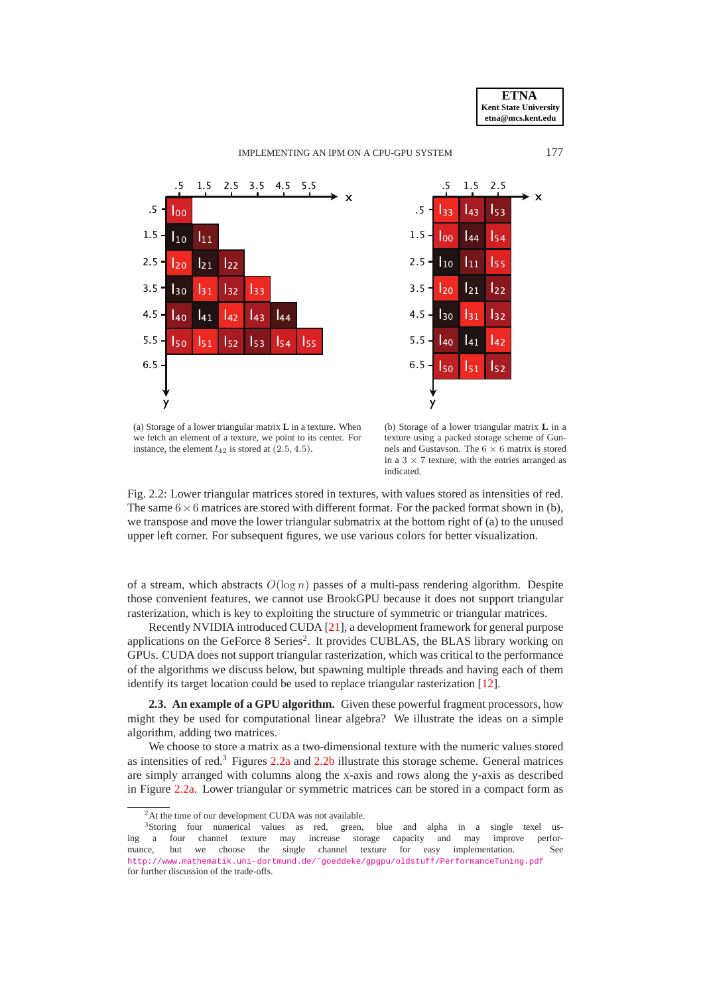

<span id="page-3-0"></span>

<span id="page-3-1"></span>

(a) Storage of a lower triangular matrix **L** in a texture. When we fetch an element of a texture, we point to its center. For instance, the element  $l_{42}$  is stored at  $(2.5, 4.5)$ .

(b) Storage of a lower triangular matrix **L** in a texture using a packed storage scheme of Gunnels and Gustavson. The  $6 \times 6$  matrix is stored in a  $3 \times 7$  texture, with the entries arranged as indicated.



of a stream, which abstracts  $O(\log n)$  passes of a multi-pass rendering algorithm. Despite those convenient features, we cannot use BrookGPU because it does not support triangular rasterization, which is key to exploiting the structure of symmetric or triangular matrices.

Recently NVIDIA introduced CUDA [\[21\]](#page-15-10), a development framework for general purpose applications on the GeForce 8 Series<sup>2</sup>. It provides CUBLAS, the BLAS library working on GPUs. CUDA does not support triangular rasterization, which was critical to the performance of the algorithms we discuss below, but spawning multiple threads and having each of them identify its target location could be used to replace triangular rasterization [\[12\]](#page-15-18).

**2.3. An example of a GPU algorithm.** Given these powerful fragment processors, how might they be used for computational linear algebra? We illustrate the ideas on a simple algorithm, adding two matrices.

We choose to store a matrix as a two-dimensional texture with the numeric values stored as intensities of red. $3$  Figures [2.2a](#page-3-0) and [2.2b](#page-3-1) illustrate this storage scheme. General matrices are simply arranged with columns along the x-axis and rows along the y-axis as described in Figure [2.2a.](#page-3-0) Lower triangular or symmetric matrices can be stored in a compact form as

<sup>&</sup>lt;sup>2</sup>At the time of our development CUDA was not available.

<sup>&</sup>lt;sup>3</sup>Storing four numerical values as red, green, blue and alpha in a single texel using a four channel texture may increase storage capacity and may improve performance, but we choose the single channel texture for easy implementation. See [http://www.mathematik.uni-dortmund.de/˜goeddeke/gpgpu/oldstuff/PerformanceTuning.pdf](http://www.mathematik.uni-dortmund.de/~goeddeke/gpgpu/oldstuff/PerformanceTuning.pdf) for further discussion of the trade-offs.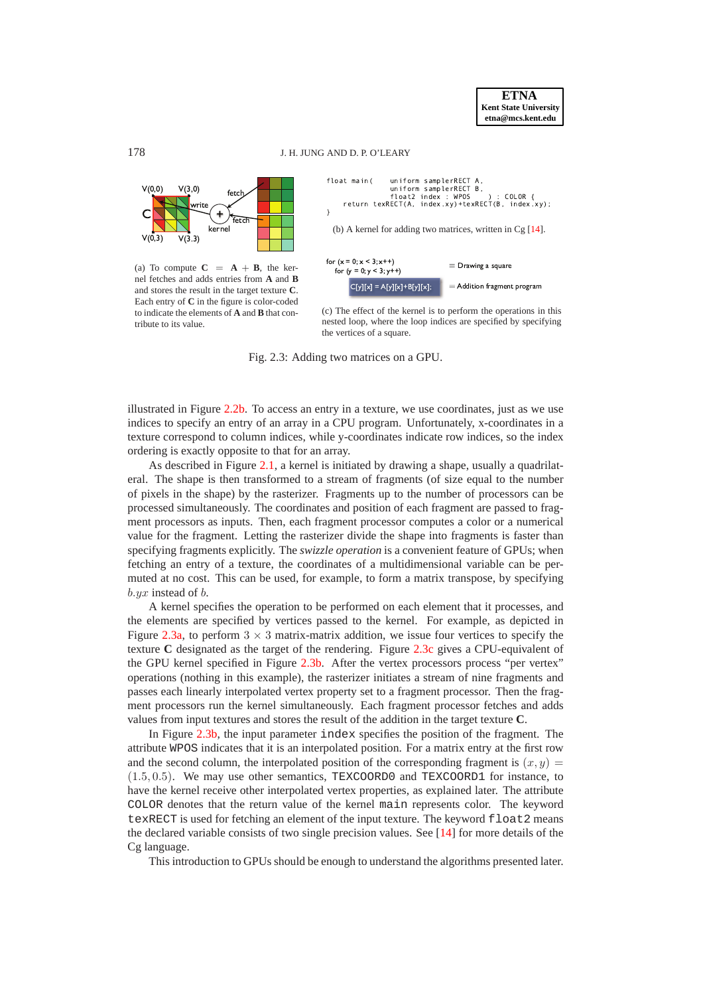**ETNA Kent State University etna@mcs.kent.edu**

## <span id="page-4-1"></span>178 J. H. JUNG AND D. P. O'LEARY



(a) To compute  $C = A + B$ , the kernel fetches and adds entries from **A** and **B** and stores the result in the target texture **C**. Each entry of **C** in the figure is color-coded to indicate the elements of **A** and **B** that contribute to its value.

<span id="page-4-3"></span><span id="page-4-2"></span>

(c) The effect of the kernel is to perform the operations in this nested loop, where the loop indices are specified by specifying the vertices of a square.

Fig. 2.3: Adding two matrices on a GPU.

illustrated in Figure [2.2b.](#page-3-1) To access an entry in a texture, we use coordinates, just as we use indices to specify an entry of an array in a CPU program. Unfortunately, x-coordinates in a texture correspond to column indices, while y-coordinates indicate row indices, so the index ordering is exactly opposite to that for an array.

As described in Figure [2.1,](#page-2-0) a kernel is initiated by drawing a shape, usually a quadrilateral. The shape is then transformed to a stream of fragments (of size equal to the number of pixels in the shape) by the rasterizer. Fragments up to the number of processors can be processed simultaneously. The coordinates and position of each fragment are passed to fragment processors as inputs. Then, each fragment processor computes a color or a numerical value for the fragment. Letting the rasterizer divide the shape into fragments is faster than specifying fragments explicitly. The *swizzle operation* is a convenient feature of GPUs; when fetching an entry of a texture, the coordinates of a multidimensional variable can be permuted at no cost. This can be used, for example, to form a matrix transpose, by specifying  $b.yx$  instead of  $b$ .

A kernel specifies the operation to be performed on each element that it processes, and the elements are specified by vertices passed to the kernel. For example, as depicted in Figure [2.3a,](#page-4-1) to perform  $3 \times 3$  matrix-matrix addition, we issue four vertices to specify the texture **C** designated as the target of the rendering. Figure [2.3c](#page-4-2) gives a CPU-equivalent of the GPU kernel specified in Figure [2.3b.](#page-4-3) After the vertex processors process "per vertex" operations (nothing in this example), the rasterizer initiates a stream of nine fragments and passes each linearly interpolated vertex property set to a fragment processor. Then the fragment processors run the kernel simultaneously. Each fragment processor fetches and adds values from input textures and stores the result of the addition in the target texture **C**.

In Figure [2.3b,](#page-4-3) the input parameter index specifies the position of the fragment. The attribute WPOS indicates that it is an interpolated position. For a matrix entry at the first row and the second column, the interpolated position of the corresponding fragment is  $(x, y)$  =  $(1.5, 0.5)$ . We may use other semantics, TEXCOORD0 and TEXCOORD1 for instance, to have the kernel receive other interpolated vertex properties, as explained later. The attribute COLOR denotes that the return value of the kernel main represents color. The keyword texRECT is used for fetching an element of the input texture. The keyword float2 means the declared variable consists of two single precision values. See [\[14\]](#page-15-12) for more details of the Cg language.

<span id="page-4-0"></span>This introduction to GPUs should be enough to understand the algorithms presented later.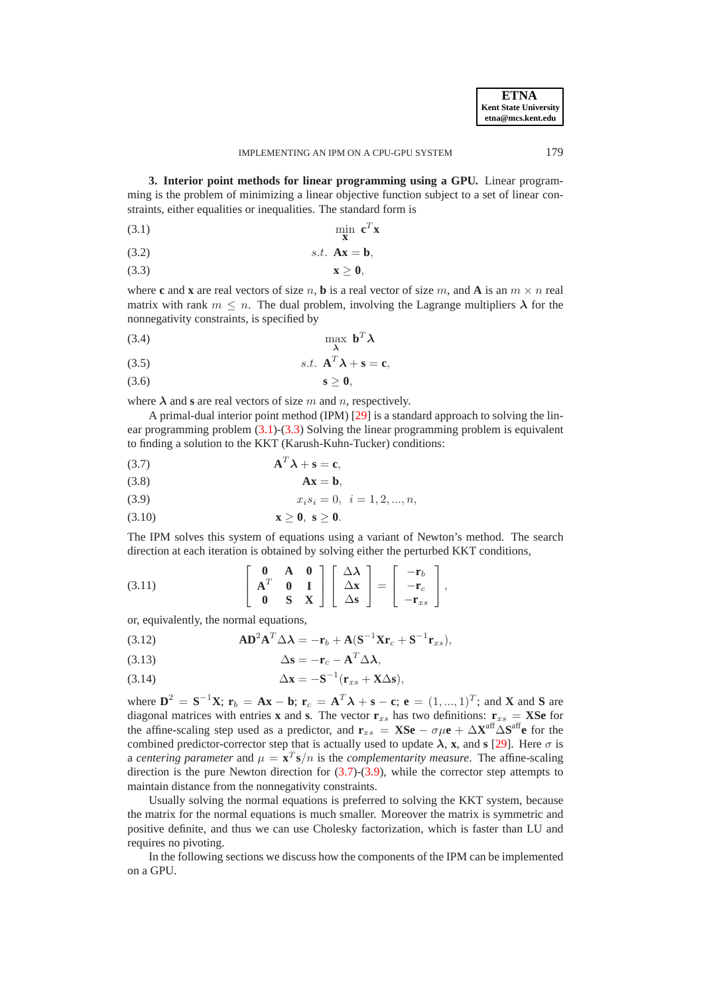**3. Interior point methods for linear programming using a GPU.** Linear programming is the problem of minimizing a linear objective function subject to a set of linear constraints, either equalities or inequalities. The standard form is

<span id="page-5-0"></span>
$$
\min_{\mathbf{x}} \mathbf{c}^T \mathbf{x}
$$

$$
(3.2) \t\t s.t. \mathbf{A}\mathbf{x} = \mathbf{b},
$$

<span id="page-5-1"></span>
$$
x\geq 0,
$$

where **c** and **x** are real vectors of size n, **b** is a real vector of size m, and **A** is an  $m \times n$  real matrix with rank  $m \leq n$ . The dual problem, involving the Lagrange multipliers  $\lambda$  for the nonnegativity constraints, is specified by

$$
\max_{\lambda} \mathbf{b}^T \lambda
$$

$$
(3.5) \t\t s.t. \mathbf{A}^T \lambda + \mathbf{s} = \mathbf{c},
$$

<span id="page-5-4"></span>(3.6) **s**  $\geq 0$ ,

where  $\lambda$  and **s** are real vectors of size m and n, respectively.

A primal-dual interior point method (IPM) [\[29\]](#page-15-19) is a standard approach to solving the linear programming problem [\(3.1\)](#page-5-0)-[\(3.3\)](#page-5-1) Solving the linear programming problem is equivalent to finding a solution to the KKT (Karush-Kuhn-Tucker) conditions:

<span id="page-5-2"></span>
$$
\mathbf{A}^T \boldsymbol{\lambda} + \mathbf{s} = \mathbf{c},
$$

$$
Ax = b,
$$

<span id="page-5-3"></span>
$$
(3.9) \t\t x_i s_i = 0, \t i = 1, 2, ..., n,
$$

$$
\mathbf{x} \geq \mathbf{0}, \ \mathbf{s} \geq \mathbf{0}.
$$

The IPM solves this system of equations using a variant of Newton's method. The search direction at each iteration is obtained by solving either the perturbed KKT conditions,

(3.11) 
$$
\begin{bmatrix} 0 & A & 0 \ A^T & 0 & I \ 0 & S & X \end{bmatrix} \begin{bmatrix} \Delta \lambda \\ \Delta x \\ \Delta s \end{bmatrix} = \begin{bmatrix} -\mathbf{r}_b \\ -\mathbf{r}_c \\ -\mathbf{r}_{xs} \end{bmatrix},
$$

or, equivalently, the normal equations,

<span id="page-5-5"></span>(3.12) 
$$
\mathbf{A}\mathbf{D}^2\mathbf{A}^T\Delta\boldsymbol{\lambda} = -\mathbf{r}_b + \mathbf{A}(\mathbf{S}^{-1}\mathbf{X}\mathbf{r}_c + \mathbf{S}^{-1}\mathbf{r}_{xs}),
$$

<span id="page-5-6"></span>
$$
\Delta \mathbf{s} = -\mathbf{r}_c - \mathbf{A}^T \Delta \boldsymbol{\lambda},
$$

<span id="page-5-7"></span>(3.14) 
$$
\Delta \mathbf{x} = -\mathbf{S}^{-1}(\mathbf{r}_{xs} + \mathbf{X}\Delta \mathbf{s}),
$$

where  $\mathbf{D}^2 = \mathbf{S}^{-1}\mathbf{X}$ ;  $\mathbf{r}_b = \mathbf{A}\mathbf{x} - \mathbf{b}$ ;  $\mathbf{r}_c = \mathbf{A}^T\boldsymbol{\lambda} + \mathbf{s} - \mathbf{c}$ ;  $\mathbf{e} = (1, ..., 1)^T$ ; and **X** and **S** are diagonal matrices with entries **x** and **s**. The vector  $\mathbf{r}_{xs}$  has two definitions:  $\mathbf{r}_{xs} = \mathbf{X}\mathbf{S}\mathbf{e}$  for the affine-scaling step used as a predictor, and  $\mathbf{r}_{xs} = \mathbf{X} \mathbf{S} \mathbf{e} - \sigma \mu \mathbf{e} + \Delta \mathbf{X}^{\text{aff}} \Delta \mathbf{S}^{\text{aff}}$  for the combined predictor-corrector step that is actually used to update  $\lambda$ , **x**, and **s** [\[29\]](#page-15-19). Here  $\sigma$  is a *centering parameter* and  $\mu = \mathbf{x}^T \mathbf{s}/n$  is the *complementarity measure*. The affine-scaling direction is the pure Newton direction for [\(3.7\)](#page-5-2)-[\(3.9\)](#page-5-3), while the corrector step attempts to maintain distance from the nonnegativity constraints.

Usually solving the normal equations is preferred to solving the KKT system, because the matrix for the normal equations is much smaller. Moreover the matrix is symmetric and positive definite, and thus we can use Cholesky factorization, which is faster than LU and requires no pivoting.

In the following sections we discuss how the components of the IPM can be implemented on a GPU.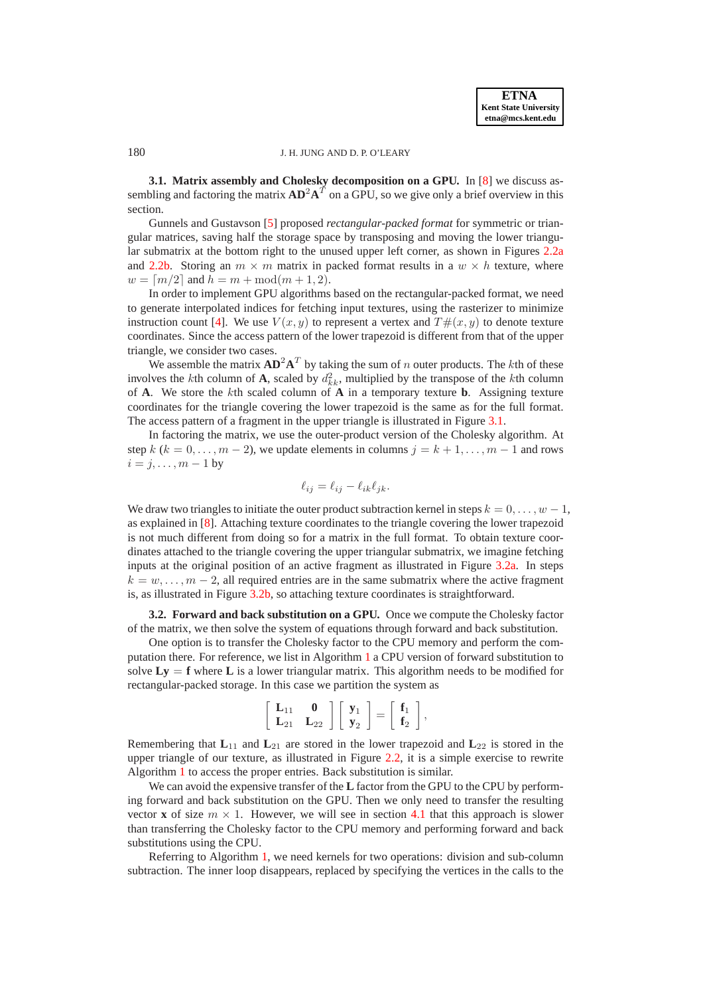**3.1. Matrix assembly and Cholesky decomposition on a GPU.** In [\[8\]](#page-15-8) we discuss assembling and factoring the matrix  $AD^2A^T$  on a GPU, so we give only a brief overview in this section.

Gunnels and Gustavson [\[5\]](#page-15-20) proposed *rectangular-packed format* for symmetric or triangular matrices, saving half the storage space by transposing and moving the lower triangular submatrix at the bottom right to the unused upper left corner, as shown in Figures [2.2a](#page-3-0) and [2.2b.](#page-3-1) Storing an  $m \times m$  matrix in packed format results in a  $w \times h$  texture, where  $w = \lceil m/2 \rceil$  and  $h = m + \text{mod}(m + 1, 2)$ .

In order to implement GPU algorithms based on the rectangular-packed format, we need to generate interpolated indices for fetching input textures, using the rasterizer to minimize instruction count [\[4\]](#page-14-2). We use  $V(x, y)$  to represent a vertex and  $T \#(x, y)$  to denote texture coordinates. Since the access pattern of the lower trapezoid is different from that of the upper triangle, we consider two cases.

We assemble the matrix  $AD^2A^T$  by taking the sum of n outer products. The kth of these involves the kth column of **A**, scaled by  $d_{kk}^2$ , multiplied by the transpose of the kth column of **A**. We store the kth scaled column of **A** in a temporary texture **b**. Assigning texture coordinates for the triangle covering the lower trapezoid is the same as for the full format. The access pattern of a fragment in the upper triangle is illustrated in Figure [3.1.](#page-7-0)

In factoring the matrix, we use the outer-product version of the Cholesky algorithm. At step  $k$  ( $k = 0, \ldots, m - 2$ ), we update elements in columns  $j = k + 1, \ldots, m - 1$  and rows  $i = j, \ldots, m - 1$  by

$$
\ell_{ij} = \ell_{ij} - \ell_{ik}\ell_{jk}.
$$

We draw two triangles to initiate the outer product subtraction kernel in steps  $k = 0, \ldots, w - 1$ , as explained in [\[8\]](#page-15-8). Attaching texture coordinates to the triangle covering the lower trapezoid is not much different from doing so for a matrix in the full format. To obtain texture coordinates attached to the triangle covering the upper triangular submatrix, we imagine fetching inputs at the original position of an active fragment as illustrated in Figure [3.2a.](#page-7-1) In steps  $k = w, \ldots, m - 2$ , all required entries are in the same submatrix where the active fragment is, as illustrated in Figure [3.2b,](#page-7-2) so attaching texture coordinates is straightforward.

**3.2. Forward and back substitution on a GPU.** Once we compute the Cholesky factor of the matrix, we then solve the system of equations through forward and back substitution.

One option is to transfer the Cholesky factor to the CPU memory and perform the computation there. For reference, we list in Algorithm [1](#page-8-0) a CPU version of forward substitution to solve  $Ly = f$  where L is a lower triangular matrix. This algorithm needs to be modified for rectangular-packed storage. In this case we partition the system as

$$
\left[\begin{array}{cc} \mathbf{L}_{11} & \mathbf{0} \\ \mathbf{L}_{21} & \mathbf{L}_{22} \end{array}\right] \left[\begin{array}{c} \mathbf{y}_1 \\ \mathbf{y}_2 \end{array}\right] = \left[\begin{array}{c} \mathbf{f}_1 \\ \mathbf{f}_2 \end{array}\right],
$$

Remembering that  $L_{11}$  and  $L_{21}$  are stored in the lower trapezoid and  $L_{22}$  is stored in the upper triangle of our texture, as illustrated in Figure [2.2,](#page-3-0) it is a simple exercise to rewrite Algorithm [1](#page-8-0) to access the proper entries. Back substitution is similar.

We can avoid the expensive transfer of the **L** factor from the GPU to the CPU by performing forward and back substitution on the GPU. Then we only need to transfer the resulting vector **x** of size  $m \times 1$ . However, we will see in section [4.1](#page-11-0) that this approach is slower than transferring the Cholesky factor to the CPU memory and performing forward and back substitutions using the CPU.

Referring to Algorithm [1,](#page-8-0) we need kernels for two operations: division and sub-column subtraction. The inner loop disappears, replaced by specifying the vertices in the calls to the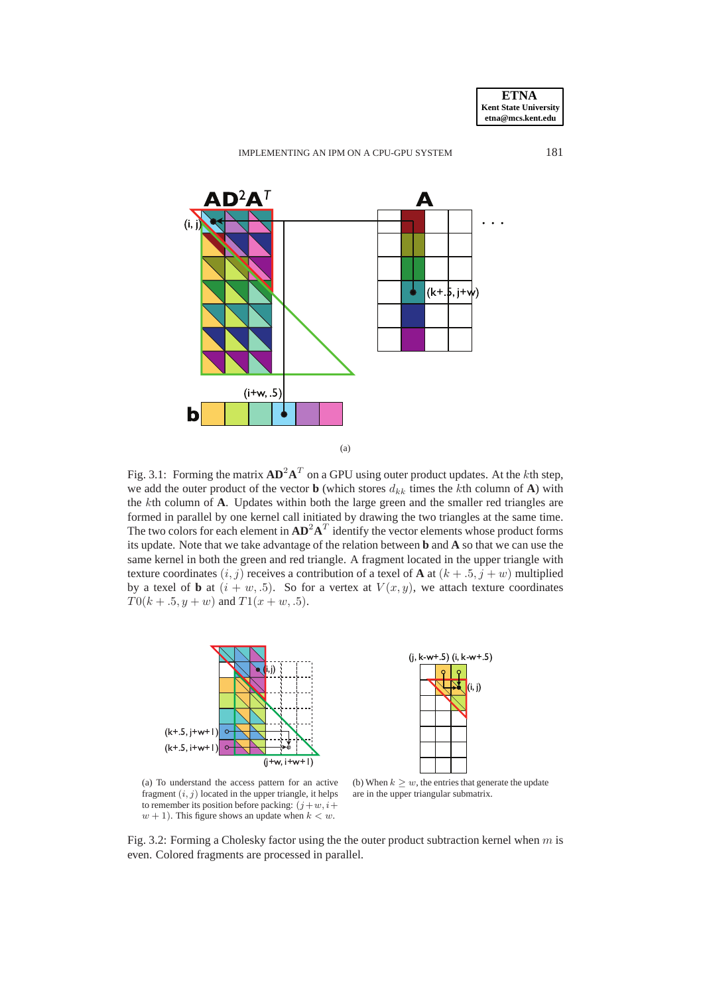

<span id="page-7-0"></span>

Fig. 3.1: Forming the matrix  $AD^2A^T$  on a GPU using outer product updates. At the kth step, we add the outer product of the vector **b** (which stores  $d_{kk}$  times the kth column of **A**) with the kth column of **A**. Updates within both the large green and the smaller red triangles are formed in parallel by one kernel call initiated by drawing the two triangles at the same time. The two colors for each element in  $AD^2A^T$  identify the vector elements whose product forms its update. Note that we take advantage of the relation between **b** and **A** so that we can use the same kernel in both the green and red triangle. A fragment located in the upper triangle with texture coordinates  $(i, j)$  receives a contribution of a texel of **A** at  $(k + .5, j + w)$  multiplied by a texel of **b** at  $(i + w, .5)$ . So for a vertex at  $V(x, y)$ , we attach texture coordinates  $T0(k + .5, y + w)$  and  $T1(x + w, .5)$ .

<span id="page-7-1"></span>

(a) To understand the access pattern for an active fragment  $(i, j)$  located in the upper triangle, it helps to remember its position before packing:  $(j + w, i +$  $w + 1$ ). This figure shows an update when  $k < w$ .

<span id="page-7-2"></span>(b) When  $k \geq w$ , the entries that generate the update are in the upper triangular submatrix.

Fig. 3.2: Forming a Cholesky factor using the the outer product subtraction kernel when  $m$  is even. Colored fragments are processed in parallel.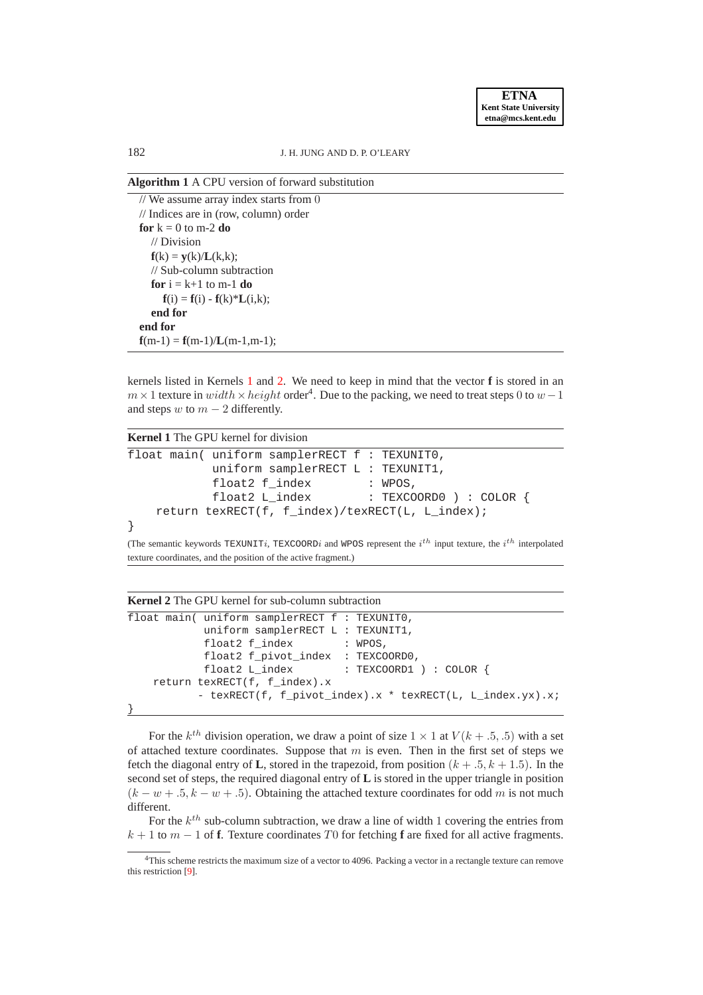<span id="page-8-0"></span>**Algorithm 1** A CPU version of forward substitution

| // We assume array index starts from $0$                |
|---------------------------------------------------------|
| $\frac{1}{\sqrt{2}}$ Indices are in (row, column) order |
| for $k = 0$ to m-2 do                                   |
| $\sqrt{}$ Division                                      |
| $f(k) = y(k)/L(k,k);$                                   |
| // Sub-column subtraction                               |
| for $i = k+1$ to m-1 do                                 |
| $f(i) = f(i) - f(k)*L(i,k);$                            |
| end for                                                 |
| end for                                                 |
| $f(m-1) = f(m-1)/L(m-1,m-1);$                           |

kernels listed in Kernels [1](#page-8-1) and [2.](#page-8-2) We need to keep in mind that the vector **f** is stored in an  $m \times 1$  texture in  $width \times height$  order<sup>4</sup>. Due to the packing, we need to treat steps 0 to  $w - 1$ and steps w to  $m - 2$  differently.

<span id="page-8-1"></span>

| <b>Kernel 1</b> The GPU kernel for division                                                                                                                                              |  |  |                                        |  |  |  |
|------------------------------------------------------------------------------------------------------------------------------------------------------------------------------------------|--|--|----------------------------------------|--|--|--|
| float main( uniform samplerRECT f : TEXUNITO,                                                                                                                                            |  |  |                                        |  |  |  |
| uniform samplerRECT $L : TEXUNIT1$ ,                                                                                                                                                     |  |  |                                        |  |  |  |
| float2 f index                                                                                                                                                                           |  |  | $\mathcal{C}$ : WPOS,                  |  |  |  |
|                                                                                                                                                                                          |  |  | float2 L_index : TEXCOORD0 ) : COLOR { |  |  |  |
| return texRECT(f, f_index)/texRECT(L, L_index);                                                                                                                                          |  |  |                                        |  |  |  |
|                                                                                                                                                                                          |  |  |                                        |  |  |  |
| (The compute leaves of $\pi$ $\mu$ $\pi$ $\pi$ $\sigma$ $\alpha$ ) $\sigma$ and $\mu$ $\alpha$ ) correspont the <i>i</i> <sup>th</sup> input texture the <i>i</i> <sup>th</sup> internal |  |  |                                        |  |  |  |

(The semantic keywords TEXUNITi, TEXCOORDi and WPOS represent the  $i^{th}$  input texture, the  $i^{th}$  interpolated texture coordinates, and the position of the active fragment.)

<span id="page-8-2"></span>

| <b>Kernel 2</b> The GPU kernel for sub-column subtraction |                                                  |  |                                                           |  |  |  |
|-----------------------------------------------------------|--------------------------------------------------|--|-----------------------------------------------------------|--|--|--|
|                                                           | float main( uniform samplerRECT $f : TEXUMITO$ , |  |                                                           |  |  |  |
|                                                           | uniform samplerRECT L : TEXUNIT1,                |  |                                                           |  |  |  |
|                                                           | float2 f_index : WPOS,                           |  |                                                           |  |  |  |
|                                                           | float2 f_pivot_index : TEXCOORD0,                |  |                                                           |  |  |  |
|                                                           |                                                  |  | float2 L_index : TEXCOORD1 ) : COLOR {                    |  |  |  |
|                                                           | return texRECT(f, f index).x                     |  |                                                           |  |  |  |
|                                                           |                                                  |  | - texRECT(f, f_pivot_index).x * texRECT(L, L_index.yx).x; |  |  |  |
|                                                           |                                                  |  |                                                           |  |  |  |

For the  $k^{th}$  division operation, we draw a point of size  $1 \times 1$  at  $V(k + .5, .5)$  with a set of attached texture coordinates. Suppose that  $m$  is even. Then in the first set of steps we fetch the diagonal entry of **L**, stored in the trapezoid, from position  $(k + .5, k + 1.5)$ . In the second set of steps, the required diagonal entry of **L** is stored in the upper triangle in position  $(k - w + .5, k - w + .5)$ . Obtaining the attached texture coordinates for odd m is not much different.

For the  $k^{th}$  sub-column subtraction, we draw a line of width 1 covering the entries from k + 1 to m − 1 of **f**. Texture coordinates T0 for fetching **f** are fixed for all active fragments.

<sup>&</sup>lt;sup>4</sup>This scheme restricts the maximum size of a vector to 4096. Packing a vector in a rectangle texture can remove this restriction [\[9\]](#page-15-6).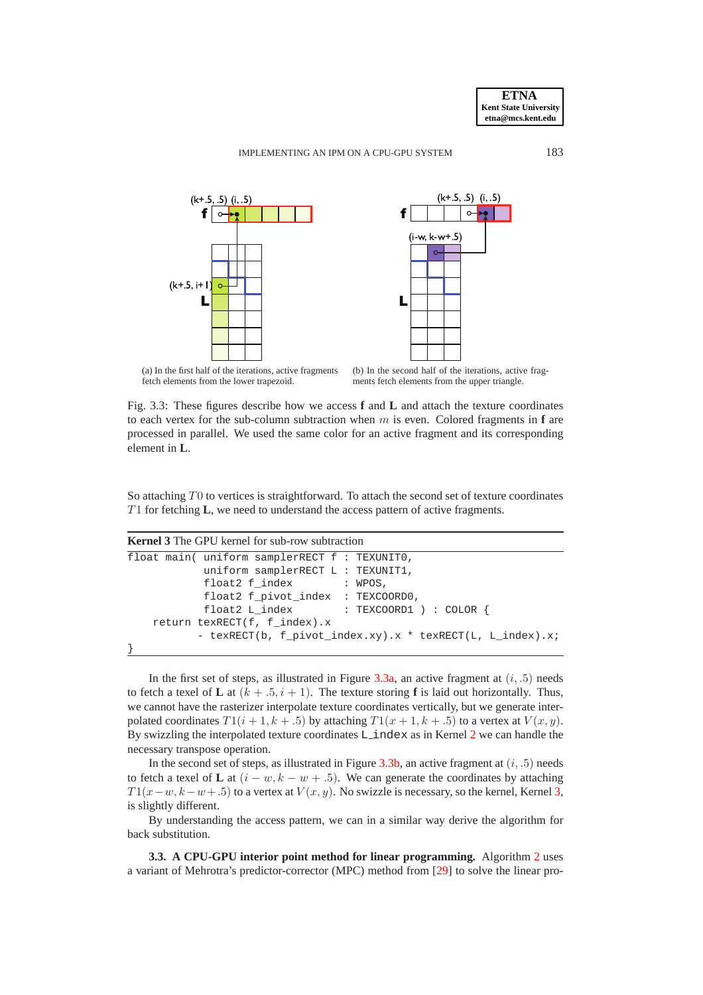<span id="page-9-0"></span>



(a) In the first half of the iterations, active fragments fetch elements from the lower trapezoid.

<span id="page-9-1"></span>(b) In the second half of the iterations, active fragments fetch elements from the upper triangle.

Fig. 3.3: These figures describe how we access **f** and **L** and attach the texture coordinates to each vertex for the sub-column subtraction when  $m$  is even. Colored fragments in  $f$  are processed in parallel. We used the same color for an active fragment and its corresponding element in **L**.

So attaching T0 to vertices is straightforward. To attach the second set of texture coordinates T1 for fetching **L**, we need to understand the access pattern of active fragments.

|  |  |  |  | <b>Kernel 3</b> The GPU kernel for sub-row subtraction |
|--|--|--|--|--------------------------------------------------------|
|--|--|--|--|--------------------------------------------------------|

```
float main( uniform samplerRECT f : TEXUNIT0,
           uniform samplerRECT L : TEXUNIT1,
           float2 f_index : WPOS,
           float2 f_pivot_index : TEXCOORD0,
           float2 L_index : TEXCOORD1 ) : COLOR {
   return texRECT(f, f_index).x
          - texRECT(b, f_pivot_index.xy).x * texRECT(L, L_index).x;
}
```
In the first set of steps, as illustrated in Figure  $3.3a$ , an active fragment at  $(i, .5)$  needs to fetch a texel of **L** at  $(k + .5, i + 1)$ . The texture storing **f** is laid out horizontally. Thus, we cannot have the rasterizer interpolate texture coordinates vertically, but we generate interpolated coordinates  $T1(i + 1, k + .5)$  by attaching  $T1(x + 1, k + .5)$  to a vertex at  $V(x, y)$ . By swizzling the interpolated texture coordinates L index as in Kernel [2](#page-8-2) we can handle the necessary transpose operation.

In the second set of steps, as illustrated in Figure  $3.3b$ , an active fragment at  $(i, .5)$  needs to fetch a texel of **L** at  $(i - w, k - w + .5)$ . We can generate the coordinates by attaching  $T1(x-w, k-w+0.5)$  to a vertex at  $V(x, y)$ . No swizzle is necessary, so the kernel, Kernel [3,](#page-9-2) is slightly different.

By understanding the access pattern, we can in a similar way derive the algorithm for back substitution.

**3.3. A CPU-GPU interior point method for linear programming.** Algorithm [2](#page-11-1) uses a variant of Mehrotra's predictor-corrector (MPC) method from [\[29\]](#page-15-19) to solve the linear pro-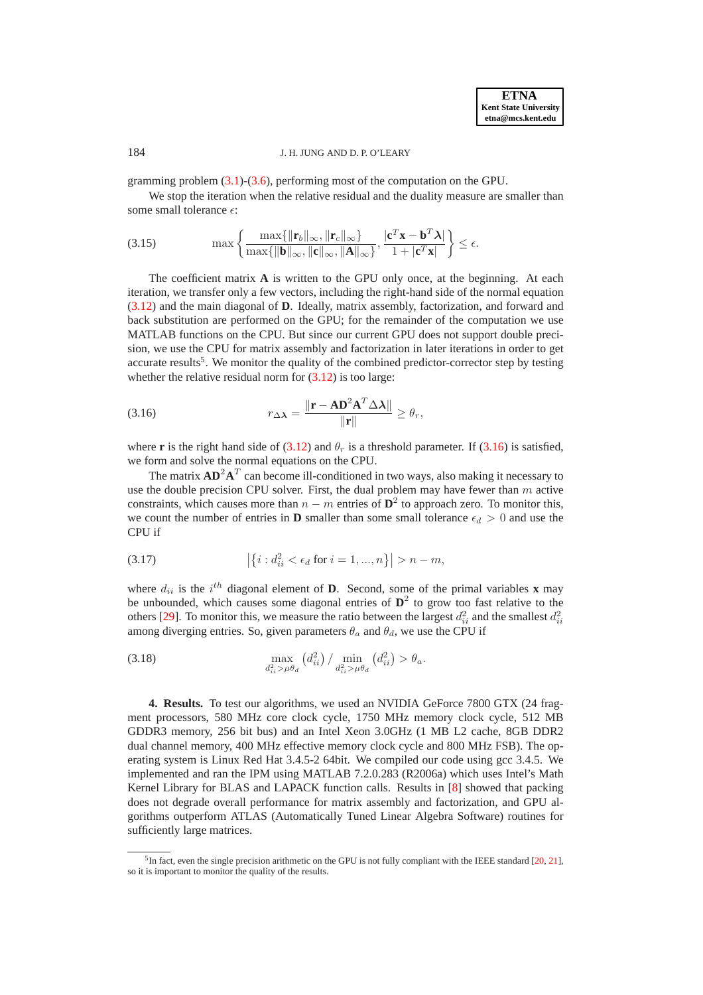gramming problem  $(3.1)-(3.6)$  $(3.1)-(3.6)$ , performing most of the computation on the GPU.

We stop the iteration when the relative residual and the duality measure are smaller than some small tolerance  $\epsilon$ :

(3.15) 
$$
\max \left\{ \frac{\max\{\|\mathbf{r}_b\|_{\infty}, \|\mathbf{r}_c\|_{\infty}\}}{\max\{\|\mathbf{b}\|_{\infty}, \|\mathbf{c}\|_{\infty}, \|\mathbf{A}\|_{\infty}\}}, \frac{|\mathbf{c}^T \mathbf{x} - \mathbf{b}^T \boldsymbol{\lambda}|}{1 + |\mathbf{c}^T \mathbf{x}|} \right\} \le \epsilon.
$$

The coefficient matrix **A** is written to the GPU only once, at the beginning. At each iteration, we transfer only a few vectors, including the right-hand side of the normal equation [\(3.12\)](#page-5-5) and the main diagonal of **D**. Ideally, matrix assembly, factorization, and forward and back substitution are performed on the GPU; for the remainder of the computation we use MATLAB functions on the CPU. But since our current GPU does not support double precision, we use the CPU for matrix assembly and factorization in later iterations in order to get accurate results<sup>5</sup>. We monitor the quality of the combined predictor-corrector step by testing whether the relative residual norm for  $(3.12)$  is too large:

<span id="page-10-1"></span>(3.16) 
$$
r_{\Delta \lambda} = \frac{\|\mathbf{r} - \mathbf{A} \mathbf{D}^2 \mathbf{A}^T \Delta \lambda\|}{\|\mathbf{r}\|} \geq \theta_r,
$$

where **r** is the right hand side of [\(3.12\)](#page-5-5) and  $\theta_r$  is a threshold parameter. If [\(3.16\)](#page-10-1) is satisfied, we form and solve the normal equations on the CPU.

The matrix  $AD^2A^T$  can become ill-conditioned in two ways, also making it necessary to use the double precision CPU solver. First, the dual problem may have fewer than  $m$  active constraints, which causes more than  $n - m$  entries of  $\mathbf{D}^2$  to approach zero. To monitor this, we count the number of entries in **D** smaller than some small tolerance  $\epsilon_d > 0$  and use the CPU if

<span id="page-10-2"></span>(3.17) 
$$
\left| \{ i : d_{ii}^2 < \epsilon_d \text{ for } i = 1, ..., n \} \right| > n - m,
$$

where  $d_{ii}$  is the i<sup>th</sup> diagonal element of **D**. Second, some of the primal variables **x** may be unbounded, which causes some diagonal entries of  $\mathbf{D}^2$  to grow too fast relative to the others [\[29\]](#page-15-19). To monitor this, we measure the ratio between the largest  $d_{ii}^2$  and the smallest  $d_{ii}^2$ among diverging entries. So, given parameters  $\theta_a$  and  $\theta_d$ , we use the CPU if

<span id="page-10-3"></span>(3.18) 
$$
\max_{d_{ii}^2 > \mu \theta_d} (d_{ii}^2) / \min_{d_{ii}^2 > \mu \theta_d} (d_{ii}^2) > \theta_a.
$$

<span id="page-10-0"></span>**4. Results.** To test our algorithms, we used an NVIDIA GeForce 7800 GTX (24 fragment processors, 580 MHz core clock cycle, 1750 MHz memory clock cycle, 512 MB GDDR3 memory, 256 bit bus) and an Intel Xeon 3.0GHz (1 MB L2 cache, 8GB DDR2 dual channel memory, 400 MHz effective memory clock cycle and 800 MHz FSB). The operating system is Linux Red Hat 3.4.5-2 64bit. We compiled our code using gcc 3.4.5. We implemented and ran the IPM using MATLAB 7.2.0.283 (R2006a) which uses Intel's Math Kernel Library for BLAS and LAPACK function calls. Results in [\[8\]](#page-15-8) showed that packing does not degrade overall performance for matrix assembly and factorization, and GPU algorithms outperform ATLAS (Automatically Tuned Linear Algebra Software) routines for sufficiently large matrices.

 ${}^{5}$ In fact, even the single precision arithmetic on the GPU is not fully compliant with the IEEE standard [\[20,](#page-15-21) [21\]](#page-15-10), so it is important to monitor the quality of the results.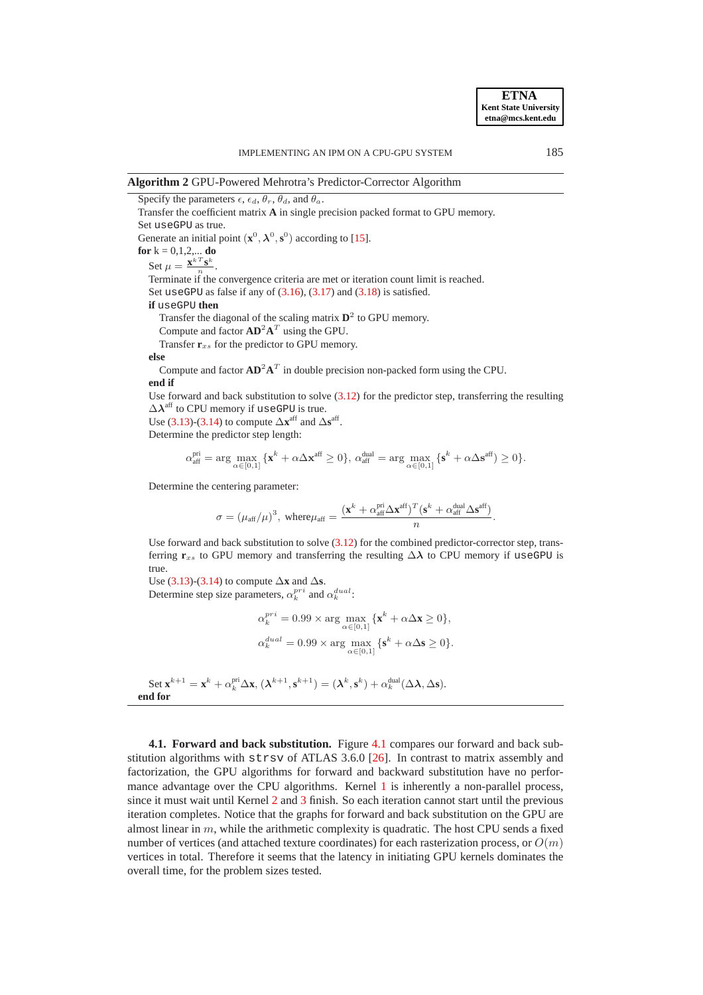<span id="page-11-1"></span>**Algorithm 2** GPU-Powered Mehrotra's Predictor-Corrector Algorithm

Specify the parameters  $\epsilon$ ,  $\epsilon_d$ ,  $\theta_r$ ,  $\theta_d$ , and  $\theta_a$ . Transfer the coefficient matrix **A** in single precision packed format to GPU memory. Set useGPU as true. Generate an initial point  $(\mathbf{x}^0, \lambda^0, \mathbf{s}^0)$  according to [\[15\]](#page-15-22). **for**  $k = 0, 1, 2, ...$  **do** Set  $\mu = \frac{\mathbf{x}^{k}^{T} \mathbf{s}^{k}}{n}$  $\frac{\mathbf{s}^n}{n}$ . Terminate if the convergence criteria are met or iteration count limit is reached. Set useGPU as false if any of  $(3.16)$ ,  $(3.17)$  and  $(3.18)$  is satisfied. **if** useGPU **then** Transfer the diagonal of the scaling matrix  $\mathbf{D}^2$  to GPU memory. Compute and factor  $AD^2A^T$  using the GPU. Transfer  $\mathbf{r}_{xs}$  for the predictor to GPU memory.

#### **else**

Compute and factor  $AD^2A^T$  in double precision non-packed form using the CPU. **end if**

Use forward and back substitution to solve  $(3.12)$  for the predictor step, transferring the resulting  $\Delta\lambda^{\rm aff}$  to CPU memory if useGPU is true.

Use [\(3.13\)](#page-5-6)-[\(3.14\)](#page-5-7) to compute  $\Delta \mathbf{x}^{\text{aff}}$  and  $\Delta \mathbf{s}^{\text{aff}}$ .

Determine the predictor step length:

$$
\alpha_{\text{aff}}^{\text{pri}} = \arg \max_{\alpha \in [0,1]} \{ \mathbf{x}^k + \alpha \Delta \mathbf{x}^{\text{aff}} \ge 0 \}, \, \alpha_{\text{aff}}^{\text{dual}} = \arg \max_{\alpha \in [0,1]} \{ \mathbf{s}^k + \alpha \Delta \mathbf{s}^{\text{aff}} \ge 0 \}.
$$

Determine the centering parameter:

$$
\sigma = (\mu_{\text{aff}}/\mu)^3, \text{ where } \mu_{\text{aff}} = \frac{(\mathbf{x}^k + \alpha_{\text{aff}}^{\text{pri}}\Delta\mathbf{x}^{\text{aff}})^T(\mathbf{s}^k + \alpha_{\text{aff}}^{\text{dual}}\Delta\mathbf{s}^{\text{aff}})}{n}.
$$

Use forward and back substitution to solve [\(3.12\)](#page-5-5) for the combined predictor-corrector step, transferring  $\mathbf{r}_{xs}$  to GPU memory and transferring the resulting  $\Delta \lambda$  to CPU memory if useGPU is true.

Use [\(3.13\)](#page-5-6)-[\(3.14\)](#page-5-7) to compute  $\Delta$ **x** and  $\Delta$ **s**. Determine step size parameters,  $\alpha_k^{pri}$  and  $\alpha_k^{dual}$ :

$$
\begin{aligned} \alpha_k^{pri} &= 0.99 \times \arg\max_{\alpha \in [0,1]} \{ \mathbf{x}^k + \alpha \Delta \mathbf{x} \ge 0 \}, \\ \alpha_k^{dual} &= 0.99 \times \arg\max_{\alpha \in [0,1]} \{ \mathbf{s}^k + \alpha \Delta \mathbf{s} \ge 0 \}. \end{aligned}
$$

Set 
$$
\mathbf{x}^{k+1} = \mathbf{x}^k + \alpha_k^{\text{pri}} \Delta \mathbf{x}
$$
,  $(\lambda^{k+1}, \mathbf{s}^{k+1}) = (\lambda^k, \mathbf{s}^k) + \alpha_k^{\text{dual}} (\Delta \lambda, \Delta \mathbf{s})$ .  
end for

<span id="page-11-0"></span>**4.1. Forward and back substitution.** Figure [4.1](#page-12-0) compares our forward and back substitution algorithms with strsv of ATLAS 3.6.0 [\[26\]](#page-15-23). In contrast to matrix assembly and factorization, the GPU algorithms for forward and backward substitution have no perfor-mance advantage over the CPU algorithms. Kernel [1](#page-8-1) is inherently a non-parallel process, since it must wait until Kernel [2](#page-8-2) and [3](#page-9-2) finish. So each iteration cannot start until the previous iteration completes. Notice that the graphs for forward and back substitution on the GPU are almost linear in  $m$ , while the arithmetic complexity is quadratic. The host CPU sends a fixed number of vertices (and attached texture coordinates) for each rasterization process, or  $O(m)$ vertices in total. Therefore it seems that the latency in initiating GPU kernels dominates the overall time, for the problem sizes tested.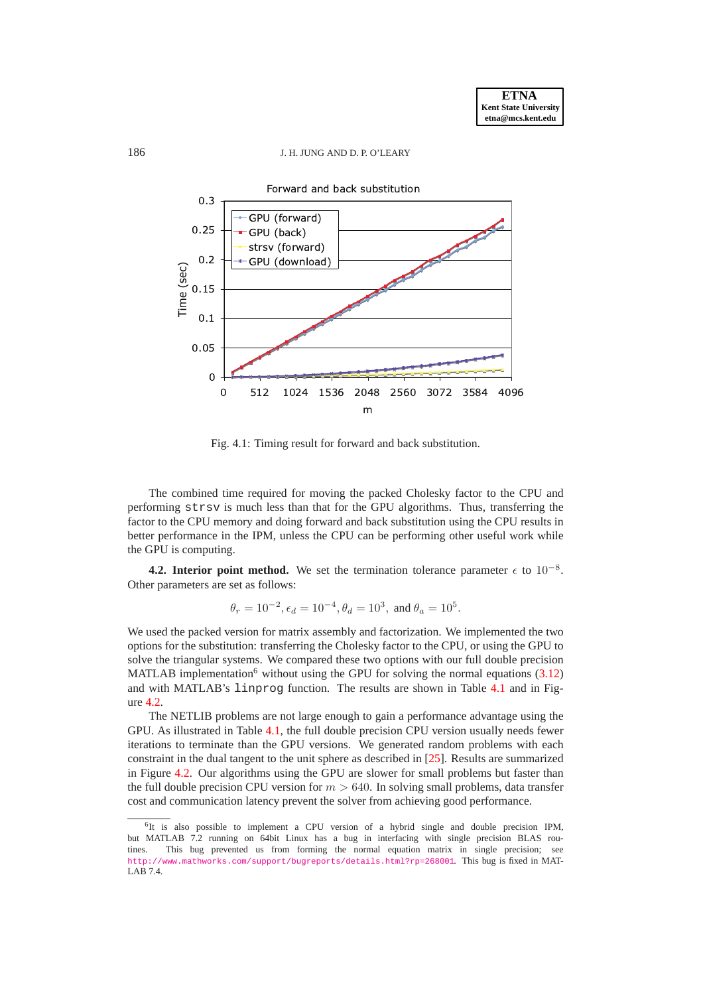<span id="page-12-0"></span>

Fig. 4.1: Timing result for forward and back substitution.

The combined time required for moving the packed Cholesky factor to the CPU and performing strsv is much less than that for the GPU algorithms. Thus, transferring the factor to the CPU memory and doing forward and back substitution using the CPU results in better performance in the IPM, unless the CPU can be performing other useful work while the GPU is computing.

**4.2. Interior point method.** We set the termination tolerance parameter  $\epsilon$  to  $10^{-8}$ . Other parameters are set as follows:

$$
\theta_r=10^{-2}, \epsilon_d=10^{-4}, \theta_d=10^3, \text{ and } \theta_a=10^5.
$$

We used the packed version for matrix assembly and factorization. We implemented the two options for the substitution: transferring the Cholesky factor to the CPU, or using the GPU to solve the triangular systems. We compared these two options with our full double precision MATLAB implementation<sup>6</sup> without using the GPU for solving the normal equations  $(3.12)$ and with MATLAB's linprog function. The results are shown in Table [4.1](#page-14-5) and in Figure [4.2.](#page-13-0)

The NETLIB problems are not large enough to gain a performance advantage using the GPU. As illustrated in Table [4.1,](#page-14-5) the full double precision CPU version usually needs fewer iterations to terminate than the GPU versions. We generated random problems with each constraint in the dual tangent to the unit sphere as described in [\[25\]](#page-15-24). Results are summarized in Figure [4.2.](#page-13-0) Our algorithms using the GPU are slower for small problems but faster than the full double precision CPU version for  $m > 640$ . In solving small problems, data transfer cost and communication latency prevent the solver from achieving good performance.

<sup>&</sup>lt;sup>6</sup>It is also possible to implement a CPU version of a hybrid single and double precision IPM, but MATLAB 7.2 running on 64bit Linux has a bug in interfacing with single precision BLAS routines. This bug prevented us from forming the normal equation matrix in single precision; see <http://www.mathworks.com/support/bugreports/details.html?rp=268001>. This bug is fixed in MAT-LAB 7.4.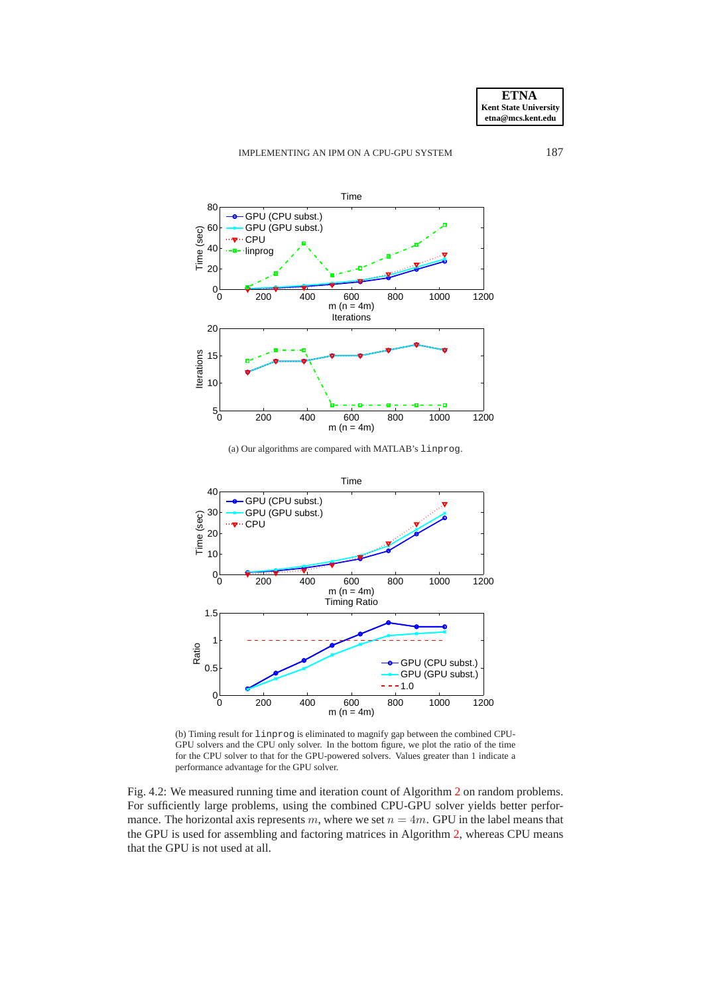



(a) Our algorithms are compared with MATLAB's linprog.

<span id="page-13-0"></span>

(b) Timing result for linprog is eliminated to magnify gap between the combined CPU-GPU solvers and the CPU only solver. In the bottom figure, we plot the ratio of the time for the CPU solver to that for the GPU-powered solvers. Values greater than 1 indicate a performance advantage for the GPU solver.

Fig. 4.2: We measured running time and iteration count of Algorithm [2](#page-11-1) on random problems. For sufficiently large problems, using the combined CPU-GPU solver yields better performance. The horizontal axis represents m, where we set  $n = 4m$ . GPU in the label means that the GPU is used for assembling and factoring matrices in Algorithm [2,](#page-11-1) whereas CPU means that the GPU is not used at all.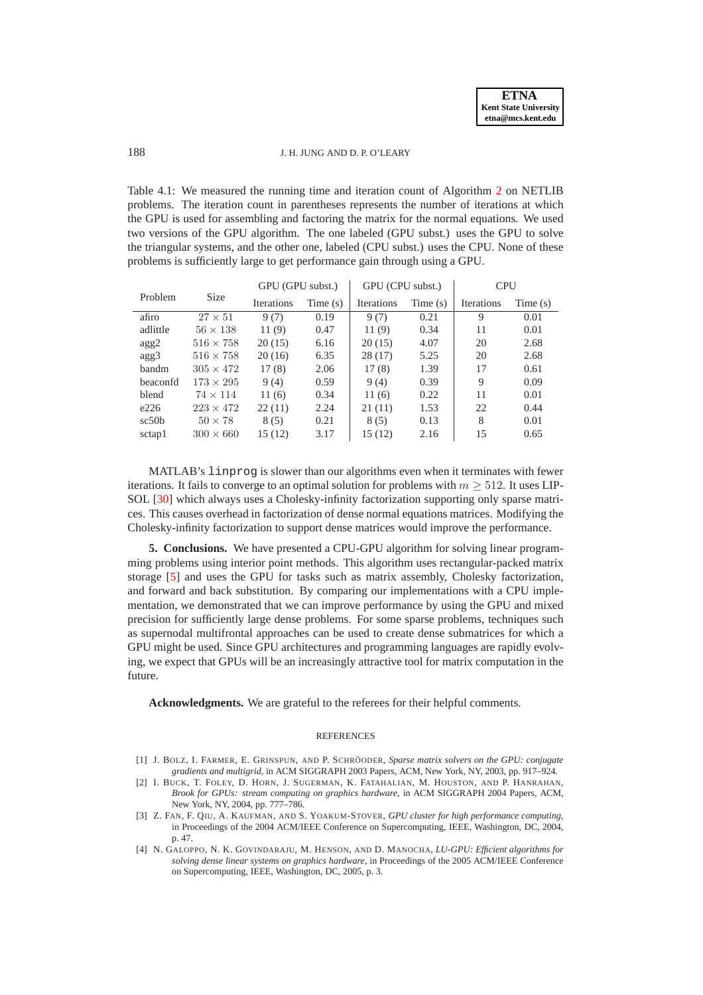<span id="page-14-5"></span>Table 4.1: We measured the running time and iteration count of Algorithm [2](#page-11-1) on NETLIB problems. The iteration count in parentheses represents the number of iterations at which the GPU is used for assembling and factoring the matrix for the normal equations. We used two versions of the GPU algorithm. The one labeled (GPU subst.) uses the GPU to solve the triangular systems, and the other one, labeled (CPU subst.) uses the CPU. None of these problems is sufficiently large to get performance gain through using a GPU.

|          |                  | GPU (GPU subst.)  |         | GPU (CPU subst.)  |            | <b>CPU</b>        |         |
|----------|------------------|-------------------|---------|-------------------|------------|-------------------|---------|
| Problem  | <b>Size</b>      | <b>Iterations</b> | Time(s) | <b>Iterations</b> | Time $(s)$ | <b>Iterations</b> | Time(s) |
| afiro    | $27 \times 51$   | 9(7)              | 0.19    | 9(7)              | 0.21       | 9                 | 0.01    |
| adlittle | $56 \times 138$  | 11(9)             | 0.47    | 11(9)             | 0.34       | 11                | 0.01    |
| agg2     | $516 \times 758$ | 20(15)            | 6.16    | 20(15)            | 4.07       | 20                | 2.68    |
| agg3     | $516 \times 758$ | 20(16)            | 6.35    | 28(17)            | 5.25       | 20                | 2.68    |
| bandm    | $305 \times 472$ | 17(8)             | 2.06    | 17(8)             | 1.39       | 17                | 0.61    |
| beaconfd | $173 \times 295$ | 9(4)              | 0.59    | 9(4)              | 0.39       | 9                 | 0.09    |
| blend    | $74 \times 114$  | 11(6)             | 0.34    | 11(6)             | 0.22       | 11                | 0.01    |
| e226     | $223 \times 472$ | 22(11)            | 2.24    | 21(11)            | 1.53       | 22                | 0.44    |
| sc50b    | $50 \times 78$   | 8(5)              | 0.21    | 8(5)              | 0.13       | 8                 | 0.01    |
| sctap1   | $300 \times 660$ | 15(12)            | 3.17    | 15(12)            | 2.16       | 15                | 0.65    |

MATLAB's linprog is slower than our algorithms even when it terminates with fewer iterations. It fails to converge to an optimal solution for problems with  $m > 512$ . It uses LIP-SOL [\[30\]](#page-15-25) which always uses a Cholesky-infinity factorization supporting only sparse matrices. This causes overhead in factorization of dense normal equations matrices. Modifying the Cholesky-infinity factorization to support dense matrices would improve the performance.

<span id="page-14-3"></span>**5. Conclusions.** We have presented a CPU-GPU algorithm for solving linear programming problems using interior point methods. This algorithm uses rectangular-packed matrix storage [\[5\]](#page-15-20) and uses the GPU for tasks such as matrix assembly, Cholesky factorization, and forward and back substitution. By comparing our implementations with a CPU implementation, we demonstrated that we can improve performance by using the GPU and mixed precision for sufficiently large dense problems. For some sparse problems, techniques such as supernodal multifrontal approaches can be used to create dense submatrices for which a GPU might be used. Since GPU architectures and programming languages are rapidly evolving, we expect that GPUs will be an increasingly attractive tool for matrix computation in the future.

**Acknowledgments.** We are grateful to the referees for their helpful comments.

#### REFERENCES

- <span id="page-14-1"></span>[1] J. BOLZ, I. FARMER, E. GRINSPUN, AND P. SCHRÖODER, Sparse matrix solvers on the GPU: conjugate *gradients and multigrid*, in ACM SIGGRAPH 2003 Papers, ACM, New York, NY, 2003, pp. 917–924.
- <span id="page-14-4"></span>[2] I. BUCK, T. FOLEY, D. HORN, J. SUGERMAN, K. FATAHALIAN, M. HOUSTON, AND P. HANRAHAN, *Brook for GPUs: stream computing on graphics hardware*, in ACM SIGGRAPH 2004 Papers, ACM, New York, NY, 2004, pp. 777–786.
- <span id="page-14-0"></span>[3] Z. FAN, F. QIU, A. KAUFMAN, AND S. YOAKUM-STOVER, *GPU cluster for high performance computing*, in Proceedings of the 2004 ACM/IEEE Conference on Supercomputing, IEEE, Washington, DC, 2004, p. 47.
- <span id="page-14-2"></span>[4] N. GALOPPO, N. K. GOVINDARAJU, M. HENSON, AND D. MANOCHA, *LU-GPU: Efficient algorithms for solving dense linear systems on graphics hardware*, in Proceedings of the 2005 ACM/IEEE Conference on Supercomputing, IEEE, Washington, DC, 2005, p. 3.